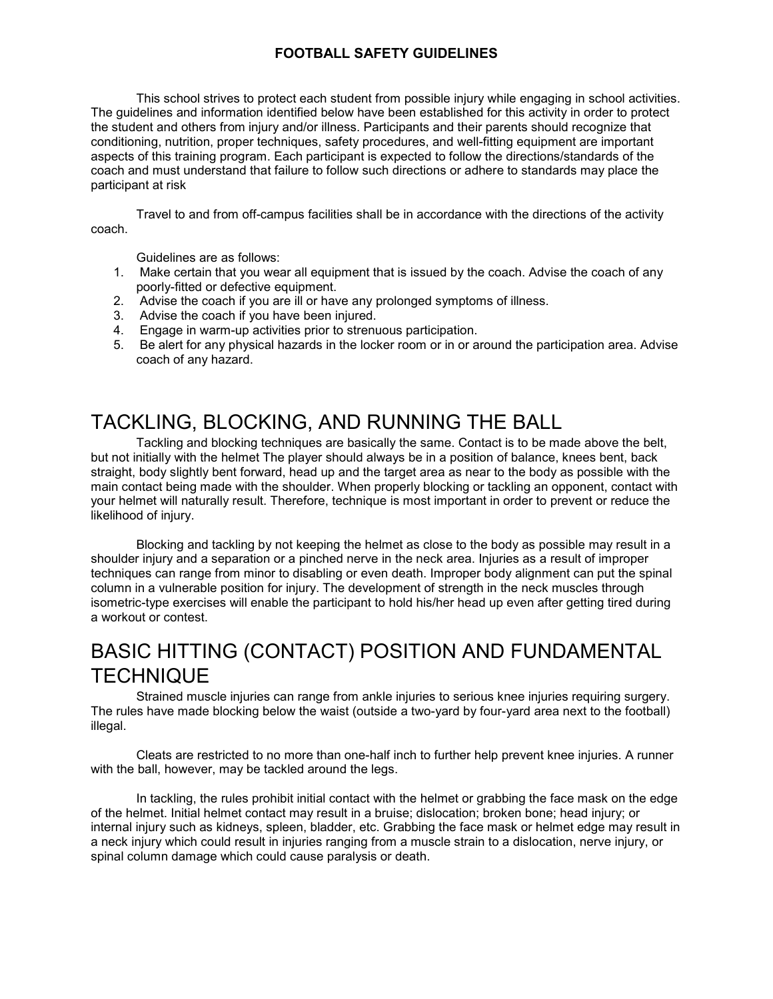### **FOOTBALL SAFETY GUIDELINES**

 This school strives to protect each student from possible injury while engaging in school activities. The guidelines and information identified below have been established for this activity in order to protect coach and must understand that failure to follow such directions or adhere to standards may place the the student and others from injury and/or illness. Participants and their parents should recognize that conditioning, nutrition, proper techniques, safety procedures, and well-fitting equipment are important aspects of this training program. Each participant is expected to follow the directions/standards of the participant at risk

Travel to and from off-campus facilities shall be in accordance with the directions of the activity coach.

Guidelines are as follows:

- 1. Make certain that you wear all equipment that is issued by the coach. Advise the coach of any poorly-fitted or defective equipment.
- 2. Advise the coach if you are ill or have any prolonged symptoms of illness.
- 3. Advise the coach if you have been injured.
- 4. Engage in warm-up activities prior to strenuous participation.
- 5. Be alert for any physical hazards in the locker room or in or around the participation area. Advise coach of any hazard.

# TACKLING, BLOCKING, AND RUNNING THE BALL

 but not initially with the helmet The player should always be in a position of balance, knees bent, back main contact being made with the shoulder. When properly blocking or tackling an opponent, contact with your helmet will naturally result. Therefore, technique is most important in order to prevent or reduce the Tackling and blocking techniques are basically the same. Contact is to be made above the belt, straight, body slightly bent forward, head up and the target area as near to the body as possible with the likelihood of injury.

Blocking and tackling by not keeping the helmet as close to the body as possible may result in a shoulder injury and a separation or a pinched nerve in the neck area. Injuries as a result of improper techniques can range from minor to disabling or even death. Improper body alignment can put the spinal column in a vulnerable position for injury. The development of strength in the neck muscles through isometric-type exercises will enable the participant to hold his/her head up even after getting tired during a workout or contest.

# BASIC HITTING (CONTACT) POSITION AND FUNDAMENTAL **TECHNIQUE**

Strained muscle injuries can range from ankle injuries to serious knee injuries requiring surgery. The rules have made blocking below the waist (outside a two-yard by four-yard area next to the football) illegal.

 Cleats are restricted to no more than one-half inch to further help prevent knee injuries. A runner with the ball, however, may be tackled around the legs.

In tackling, the rules prohibit initial contact with the helmet or grabbing the face mask on the edge of the helmet. Initial helmet contact may result in a bruise; dislocation; broken bone; head injury; or internal injury such as kidneys, spleen, bladder, etc. Grabbing the face mask or helmet edge may result in a neck injury which could result in injuries ranging from a muscle strain to a dislocation, nerve injury, or spinal column damage which could cause paralysis or death.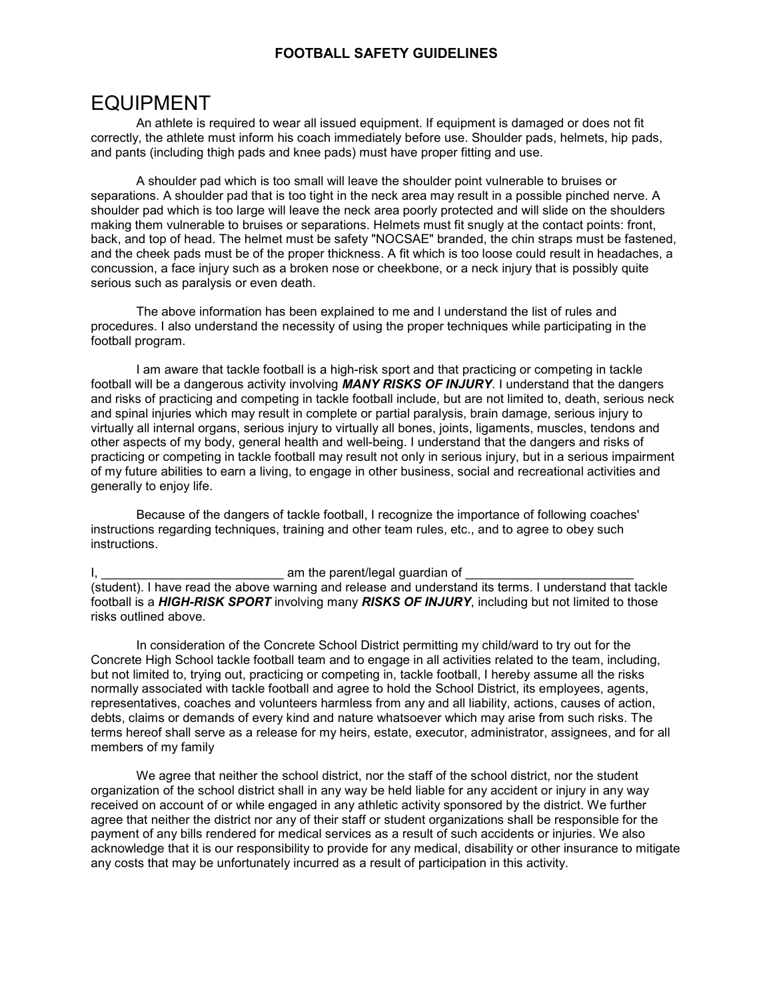#### **FOOTBALL SAFETY GUIDELINES**

## EQUIPMENT

 An athlete is required to wear all issued equipment. If equipment is damaged or does not fit correctly, the athlete must inform his coach immediately before use. Shoulder pads, helmets, hip pads, and pants (including thigh pads and knee pads) must have proper fitting and use.

 separations. A shoulder pad that is too tight in the neck area may result in a possible pinched nerve. A concussion, a face injury such as a broken nose or cheekbone, or a neck injury that is possibly quite serious such as paralysis or even death. A shoulder pad which is too small will leave the shoulder point vulnerable to bruises or shoulder pad which is too large will leave the neck area poorly protected and will slide on the shoulders making them vulnerable to bruises or separations. Helmets must fit snugly at the contact points: front, back, and top of head. The helmet must be safety "NOCSAE" branded, the chin straps must be fastened, and the cheek pads must be of the proper thickness. A fit which is too loose could result in headaches, a

The above information has been explained to me and l understand the list of rules and procedures. I also understand the necessity of using the proper techniques while participating in the football program.

 and spinal injuries which may result in complete or partial paralysis, brain damage, serious injury to virtually all internal organs, serious injury to virtually all bones, joints, ligaments, muscles, tendons and other aspects of my body, general health and well-being. I understand that the dangers and risks of practicing or competing in tackle football may result not only in serious injury, but in a serious impairment I am aware that tackle football is a high-risk sport and that practicing or competing in tackle football will be a dangerous activity involving *MANY RISKS OF INJURY*. I understand that the dangers and risks of practicing and competing in tackle football include, but are not limited to, death, serious neck of my future abilities to earn a living, to engage in other business, social and recreational activities and generally to enjoy life.

Because of the dangers of tackle football, I recognize the importance of following coaches' instructions regarding techniques, training and other team rules, etc., and to agree to obey such instructions.

I, \_\_\_\_\_\_\_\_\_\_\_\_\_\_\_\_\_\_\_\_\_\_\_\_\_\_ am the parent/legal guardian of \_\_\_\_\_\_\_\_\_\_\_\_\_\_\_\_\_\_\_\_\_\_\_\_ (student). I have read the above warning and release and understand its terms. I understand that tackle football is a *HIGH-RISK SPORT* involving many *RISKS OF INJURY*, including but not limited to those risks outlined above.

 In consideration of the Concrete School District permitting my child/ward to try out for the but not limited to, trying out, practicing or competing in, tackle football, I hereby assume all the risks normally associated with tackle football and agree to hold the School District, its employees, agents, Concrete High School tackle football team and to engage in all activities related to the team, including, representatives, coaches and volunteers harmless from any and all liability, actions, causes of action, debts, claims or demands of every kind and nature whatsoever which may arise from such risks. The terms hereof shall serve as a release for my heirs, estate, executor, administrator, assignees, and for all members of my family

 We agree that neither the school district, nor the staff of the school district, nor the student organization of the school district shall in any way be held liable for any accident or injury in any way received on account of or while engaged in any athletic activity sponsored by the district. We further payment of any bills rendered for medical services as a result of such accidents or injuries. We also agree that neither the district nor any of their staff or student organizations shall be responsible for the acknowledge that it is our responsibility to provide for any medical, disability or other insurance to mitigate any costs that may be unfortunately incurred as a result of participation in this activity.